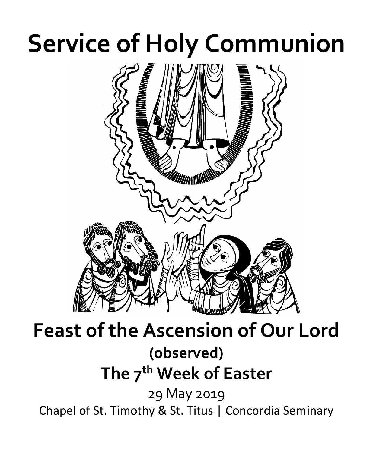# **Service of Holy Communion**



# **Feast of the Ascension of Our Lord (observed) The 7th Week of Easter**  29 May 2019

Chapel of St. Timothy & St. Titus | Concordia Seminary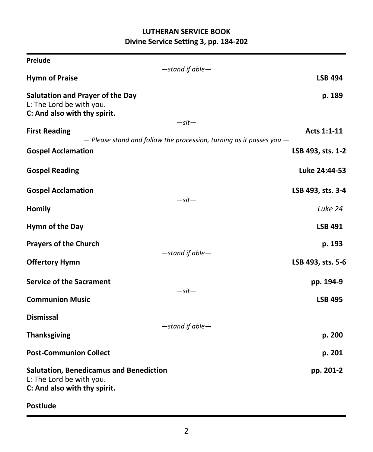# **LUTHERAN SERVICE BOOK Divine Service Setting 3, pp. 184-202**

| Prelude                                                                                                    |                                                                                     |                   |
|------------------------------------------------------------------------------------------------------------|-------------------------------------------------------------------------------------|-------------------|
| <b>Hymn of Praise</b>                                                                                      | -stand if able-                                                                     | <b>LSB 494</b>    |
| Salutation and Prayer of the Day<br>L: The Lord be with you.<br>C: And also with thy spirit.               |                                                                                     | p. 189            |
| <b>First Reading</b>                                                                                       | $-sit-$<br>$-$ Please stand and follow the procession, turning as it passes you $-$ | Acts 1:1-11       |
| <b>Gospel Acclamation</b>                                                                                  |                                                                                     | LSB 493, sts. 1-2 |
| <b>Gospel Reading</b>                                                                                      |                                                                                     | Luke 24:44-53     |
| <b>Gospel Acclamation</b>                                                                                  | $-sit-$                                                                             | LSB 493, sts. 3-4 |
| <b>Homily</b>                                                                                              |                                                                                     | Luke 24           |
| Hymn of the Day                                                                                            |                                                                                     | <b>LSB 491</b>    |
| <b>Prayers of the Church</b>                                                                               | -stand if able-                                                                     | p. 193            |
| <b>Offertory Hymn</b>                                                                                      |                                                                                     | LSB 493, sts. 5-6 |
| <b>Service of the Sacrament</b>                                                                            | $-sit-$                                                                             | pp. 194-9         |
| <b>Communion Music</b>                                                                                     |                                                                                     | <b>LSB 495</b>    |
| <b>Dismissal</b>                                                                                           | -stand if able-                                                                     |                   |
| <b>Thanksgiving</b>                                                                                        |                                                                                     | p. 200            |
| <b>Post-Communion Collect</b>                                                                              |                                                                                     | p. 201            |
| <b>Salutation, Benedicamus and Benediction</b><br>L: The Lord be with you.<br>C: And also with thy spirit. |                                                                                     | pp. 201-2         |
| <b>Postlude</b>                                                                                            |                                                                                     |                   |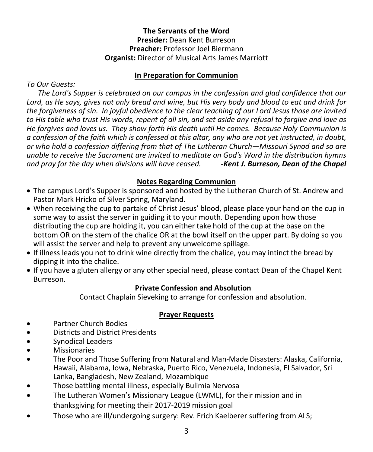## **The Servants of the Word**

**Presider:** Dean Kent Burreson **Preacher:** Professor Joel Biermann **Organist:** Director of Musical Arts James Marriott

#### **In Preparation for Communion**

*To Our Guests:*

 *The Lord's Supper is celebrated on our campus in the confession and glad confidence that our Lord, as He says, gives not only bread and wine, but His very body and blood to eat and drink for the forgiveness of sin. In joyful obedience to the clear teaching of our Lord Jesus those are invited to His table who trust His words, repent of all sin, and set aside any refusal to forgive and love as He forgives and loves us. They show forth His death until He comes. Because Holy Communion is a confession of the faith which is confessed at this altar, any who are not yet instructed, in doubt, or who hold a confession differing from that of The Lutheran Church—Missouri Synod and so are unable to receive the Sacrament are invited to meditate on God's Word in the distribution hymns and pray for the day when divisions will have ceased. -Kent J. Burreson, Dean of the Chapel*

## **Notes Regarding Communion**

- The campus Lord's Supper is sponsored and hosted by the Lutheran Church of St. Andrew and Pastor Mark Hricko of Silver Spring, Maryland.
- When receiving the cup to partake of Christ Jesus' blood, please place your hand on the cup in some way to assist the server in guiding it to your mouth. Depending upon how those distributing the cup are holding it, you can either take hold of the cup at the base on the bottom OR on the stem of the chalice OR at the bowl itself on the upper part. By doing so you will assist the server and help to prevent any unwelcome spillage.
- If illness leads you not to drink wine directly from the chalice, you may intinct the bread by dipping it into the chalice.
- If you have a gluten allergy or any other special need, please contact Dean of the Chapel Kent Burreson.

# **Private Confession and Absolution**

Contact Chaplain Sieveking to arrange for confession and absolution.

# **Prayer Requests**

- Partner Church Bodies
- Districts and District Presidents
- Synodical Leaders
- **Missionaries**
- The Poor and Those Suffering from Natural and Man-Made Disasters: Alaska, California, Hawaii, Alabama, Iowa, Nebraska, Puerto Rico, Venezuela, Indonesia, El Salvador, Sri Lanka, Bangladesh, New Zealand, Mozambique
- Those battling mental illness, especially Bulimia Nervosa
- The Lutheran Women's Missionary League (LWML), for their mission and in thanksgiving for meeting their 2017-2019 mission goal
- Those who are ill/undergoing surgery: Rev. Erich Kaelberer suffering from ALS;